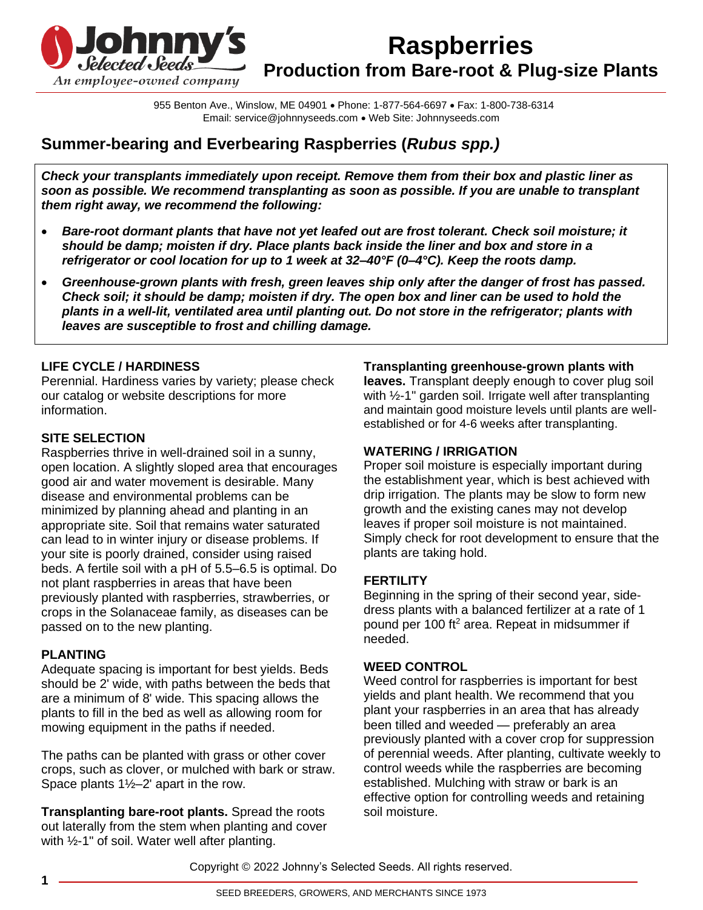

955 Benton Ave., Winslow, ME 04901 • Phone: 1-877-564-6697 • Fax: 1-800-738-6314 Email: service@johnnyseeds.com • Web Site: Johnnyseeds.com

# **Summer-bearing and Everbearing Raspberries (***Rubus spp.)*

*Check your transplants immediately upon receipt. Remove them from their box and plastic liner as soon as possible. We recommend transplanting as soon as possible. If you are unable to transplant them right away, we recommend the following:*

- *Bare-root dormant plants that have not yet leafed out are frost tolerant. Check soil moisture; it should be damp; moisten if dry. Place plants back inside the liner and box and store in a refrigerator or cool location for up to 1 week at 32–40°F (0–4°C). Keep the roots damp.*
- *Greenhouse-grown plants with fresh, green leaves ship only after the danger of frost has passed. Check soil; it should be damp; moisten if dry. The open box and liner can be used to hold the plants in a well-lit, ventilated area until planting out. Do not store in the refrigerator; plants with leaves are susceptible to frost and chilling damage.*

## **LIFE CYCLE / HARDINESS**

Perennial. Hardiness varies by variety; please check our catalog or website descriptions for more information.

### **SITE SELECTION**

Raspberries thrive in well-drained soil in a sunny, open location. A slightly sloped area that encourages good air and water movement is desirable. Many disease and environmental problems can be minimized by planning ahead and planting in an appropriate site. Soil that remains water saturated can lead to in winter injury or disease problems. If your site is poorly drained, consider using raised beds. A fertile soil with a pH of 5.5–6.5 is optimal. Do not plant raspberries in areas that have been previously planted with raspberries, strawberries, or crops in the Solanaceae family, as diseases can be passed on to the new planting.

### **PLANTING**

Adequate spacing is important for best yields. Beds should be 2' wide, with paths between the beds that are a minimum of 8' wide. This spacing allows the plants to fill in the bed as well as allowing room for mowing equipment in the paths if needed.

The paths can be planted with grass or other cover crops, such as clover, or mulched with bark or straw. Space plants 1½–2' apart in the row.

**Transplanting bare-root plants.** Spread the roots out laterally from the stem when planting and cover with ½-1" of soil. Water well after planting.

**Transplanting greenhouse-grown plants with** 

**leaves.** Transplant deeply enough to cover plug soil with 1/2-1" garden soil. Irrigate well after transplanting and maintain good moisture levels until plants are wellestablished or for 4-6 weeks after transplanting.

#### **WATERING / IRRIGATION**

Proper soil moisture is especially important during the establishment year, which is best achieved with drip irrigation. The plants may be slow to form new growth and the existing canes may not develop leaves if proper soil moisture is not maintained. Simply check for root development to ensure that the plants are taking hold.

### **FERTILITY**

Beginning in the spring of their second year, sidedress plants with a balanced fertilizer at a rate of 1 pound per 100 ft<sup>2</sup> area. Repeat in midsummer if needed.

#### **WEED CONTROL**

Weed control for raspberries is important for best yields and plant health. We recommend that you plant your raspberries in an area that has already been tilled and weeded — preferably an area previously planted with a cover crop for suppression of perennial weeds. After planting, cultivate weekly to control weeds while the raspberries are becoming established. Mulching with straw or bark is an effective option for controlling weeds and retaining soil moisture.

Copyright © 2022 Johnny's Selected Seeds. All rights reserved.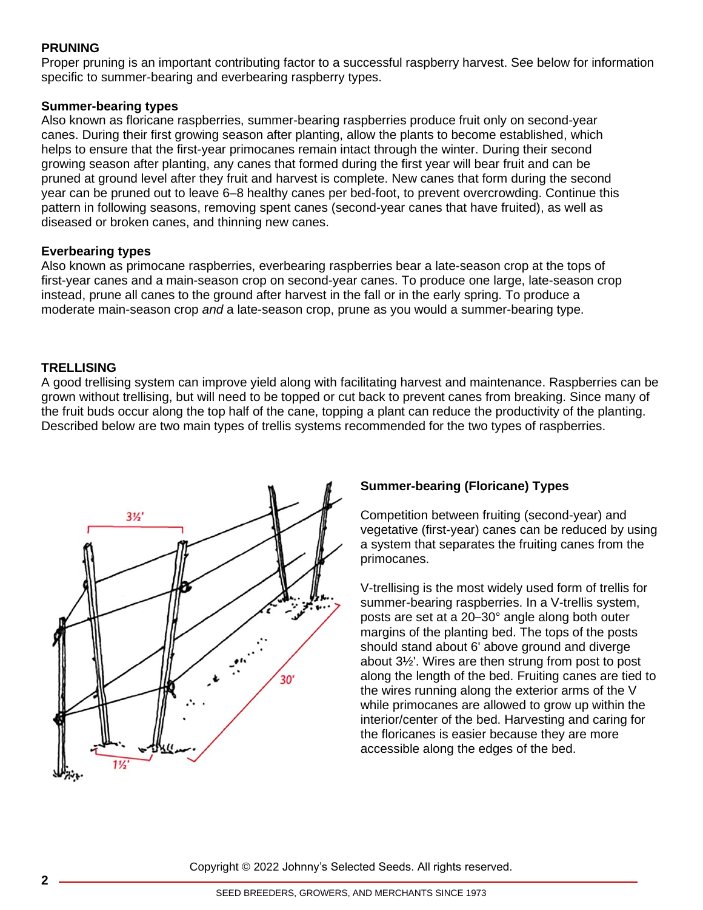## **PRUNING**

Proper pruning is an important contributing factor to a successful raspberry harvest. See below for information specific to summer-bearing and everbearing raspberry types.

#### **Summer-bearing types**

Also known as floricane raspberries, summer-bearing raspberries produce fruit only on second-year canes. During their first growing season after planting, allow the plants to become established, which helps to ensure that the first-year primocanes remain intact through the winter. During their second growing season after planting, any canes that formed during the first year will bear fruit and can be pruned at ground level after they fruit and harvest is complete. New canes that form during the second year can be pruned out to leave 6–8 healthy canes per bed-foot, to prevent overcrowding. Continue this pattern in following seasons, removing spent canes (second-year canes that have fruited), as well as diseased or broken canes, and thinning new canes.

#### **Everbearing types**

Also known as primocane raspberries, everbearing raspberries bear a late-season crop at the tops of first-year canes and a main-season crop on second-year canes. To produce one large, late-season crop instead, prune all canes to the ground after harvest in the fall or in the early spring. To produce a moderate main-season crop *and* a late-season crop, prune as you would a summer-bearing type.

### **TRELLISING**

A good trellising system can improve yield along with facilitating harvest and maintenance. Raspberries can be grown without trellising, but will need to be topped or cut back to prevent canes from breaking. Since many of the fruit buds occur along the top half of the cane, topping a plant can reduce the productivity of the planting. Described below are two main types of trellis systems recommended for the two types of raspberries.



# **Summer-bearing (Floricane) Types**

Competition between fruiting (second-year) and vegetative (first-year) canes can be reduced by using a system that separates the fruiting canes from the primocanes.

V-trellising is the most widely used form of trellis for summer-bearing raspberries. In a V-trellis system, posts are set at a 20–30° angle along both outer margins of the planting bed. The tops of the posts should stand about 6' above ground and diverge about 3½'. Wires are then strung from post to post along the length of the bed. Fruiting canes are tied to the wires running along the exterior arms of the V while primocanes are allowed to grow up within the interior/center of the bed. Harvesting and caring for the floricanes is easier because they are more accessible along the edges of the bed.

Copyright © 2022 Johnny's Selected Seeds. All rights reserved.